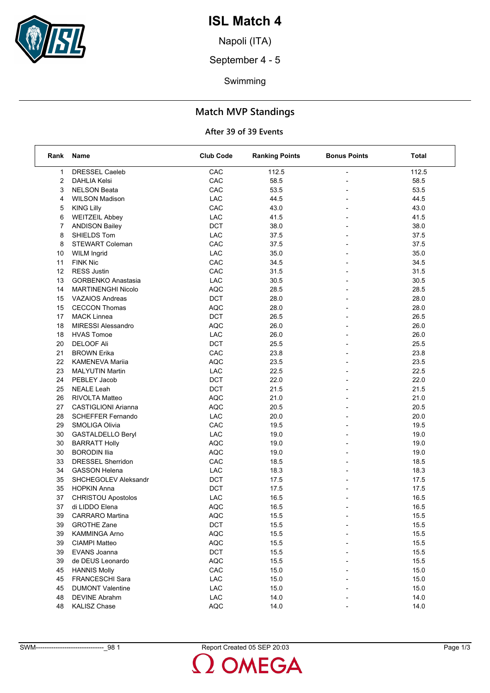

## **ISL Match 4**

Napoli (ITA)

September 4 - 5

Swimming

### **Match MVP Standings**

#### **After 39 of 39 Events**

| Rank | Name                       | <b>Club Code</b>            | <b>Ranking Points</b> | <b>Bonus Points</b>      | <b>Total</b> |
|------|----------------------------|-----------------------------|-----------------------|--------------------------|--------------|
| 1    | <b>DRESSEL Caeleb</b>      | CAC                         | 112.5                 |                          | 112.5        |
| 2    | <b>DAHLIA Kelsi</b>        | CAC                         | 58.5                  |                          | 58.5         |
| 3    | <b>NELSON Beata</b>        | CAC                         | 53.5                  |                          | 53.5         |
| 4    | <b>WILSON Madison</b>      | LAC                         | 44.5                  | $\overline{\phantom{a}}$ | 44.5         |
| 5    | <b>KING Lilly</b>          | CAC                         | 43.0                  |                          | 43.0         |
| 6    | <b>WEITZEIL Abbey</b>      | LAC                         | 41.5                  |                          | 41.5         |
| 7    | <b>ANDISON Bailey</b>      | <b>DCT</b>                  | 38.0                  |                          | 38.0         |
| 8    | SHIELDS Tom                | LAC                         | 37.5                  |                          | 37.5         |
| 8    | <b>STEWART Coleman</b>     | CAC                         | 37.5                  |                          | 37.5         |
| 10   | <b>WILM Ingrid</b>         | LAC                         | 35.0                  | $\overline{\phantom{a}}$ | 35.0         |
| 11   | <b>FINK Nic</b>            | CAC                         | 34.5                  |                          | 34.5         |
| 12   | <b>RESS Justin</b>         | CAC                         | 31.5                  |                          | 31.5         |
| 13   | <b>GORBENKO Anastasia</b>  | $\ensuremath{\mathsf{LAC}}$ | 30.5                  |                          | 30.5         |
| 14   | <b>MARTINENGHI Nicolo</b>  | <b>AQC</b>                  | 28.5                  |                          | 28.5         |
| 15   | <b>VAZAIOS Andreas</b>     | <b>DCT</b>                  | 28.0                  |                          | 28.0         |
| 15   | <b>CECCON Thomas</b>       | <b>AQC</b>                  | 28.0                  | $\overline{\phantom{a}}$ | 28.0         |
| 17   | <b>MACK Linnea</b>         | <b>DCT</b>                  | 26.5                  |                          | 26.5         |
| 18   | <b>MIRESSI Alessandro</b>  | <b>AQC</b>                  | 26.0                  |                          | 26.0         |
| 18   | <b>HVAS Tomoe</b>          | LAC                         | 26.0                  |                          | 26.0         |
| 20   | <b>DELOOF Ali</b>          | <b>DCT</b>                  | 25.5                  |                          | 25.5         |
| 21   | <b>BROWN Erika</b>         | CAC                         | 23.8                  |                          | 23.8         |
| 22   | <b>KAMENEVA Marija</b>     | <b>AQC</b>                  | 23.5                  | $\overline{\phantom{a}}$ | 23.5         |
| 23   | <b>MALYUTIN Martin</b>     | LAC                         | 22.5                  |                          | 22.5         |
| 24   | PEBLEY Jacob               | <b>DCT</b>                  | 22.0                  |                          | 22.0         |
| 25   | <b>NEALE Leah</b>          | <b>DCT</b>                  | 21.5                  |                          | 21.5         |
| 26   | <b>RIVOLTA Matteo</b>      | <b>AQC</b>                  | 21.0                  |                          | 21.0         |
| 27   | <b>CASTIGLIONI Arianna</b> | <b>AQC</b>                  | 20.5                  |                          | 20.5         |
| 28   | <b>SCHEFFER Fernando</b>   | LAC                         | 20.0                  | $\overline{\phantom{a}}$ | 20.0         |
| 29   | SMOLIGA Olivia             | CAC                         | 19.5                  |                          | 19.5         |
| 30   | GASTALDELLO Beryl          | LAC                         | 19.0                  |                          | 19.0         |
| 30   | <b>BARRATT Holly</b>       | <b>AQC</b>                  | 19.0                  |                          | 19.0         |
| 30   | <b>BORODIN Ilia</b>        | <b>AQC</b>                  | 19.0                  |                          | 19.0         |
| 33   | DRESSEL Sherridon          | CAC                         | 18.5                  |                          | 18.5         |
| 34   | <b>GASSON Helena</b>       | LAC                         | 18.3                  | $\overline{\phantom{a}}$ | 18.3         |
| 35   | SHCHEGOLEV Aleksandr       | <b>DCT</b>                  | 17.5                  |                          | 17.5         |
| 35   | <b>HOPKIN Anna</b>         | <b>DCT</b>                  | 17.5                  |                          | 17.5         |
| 37   | <b>CHRISTOU Apostolos</b>  | LAC                         | 16.5                  |                          | 16.5         |
| 37   | di LIDDO Elena             | <b>AQC</b>                  | 16.5                  |                          | 16.5         |
| 39   | CARRARO Martina            | <b>AQC</b>                  | 15.5                  |                          | 15.5         |
| 39   | <b>GROTHE Zane</b>         | <b>DCT</b>                  | 15.5                  |                          | 15.5         |
| 39   | <b>KAMMINGA Arno</b>       | <b>AQC</b>                  | 15.5                  |                          | 15.5         |
| 39   | <b>CIAMPI Matteo</b>       | AQC                         | 15.5                  |                          | 15.5         |
| 39   | EVANS Joanna               | DCT                         | 15.5                  |                          | 15.5         |
| 39   | de DEUS Leonardo           | <b>AQC</b>                  | 15.5                  |                          | 15.5         |
| 45   | <b>HANNIS Molly</b>        | CAC                         | 15.0                  |                          | 15.0         |
| 45   | FRANCESCHI Sara            | LAC                         | 15.0                  |                          | 15.0         |
| 45   | <b>DUMONT Valentine</b>    | LAC                         | 15.0                  |                          | 15.0         |
| 48   | <b>DEVINE Abrahm</b>       | ${\sf LAC}$                 | 14.0                  |                          | 14.0         |
| 48   | <b>KALISZ Chase</b>        | AQC                         | 14.0                  |                          | 14.0         |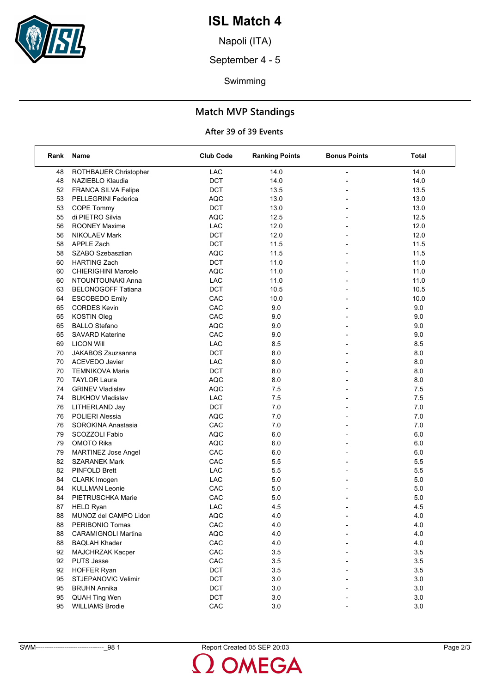

## **ISL Match 4**

Napoli (ITA)

September 4 - 5

Swimming

### **Match MVP Standings**

#### **After 39 of 39 Events**

| Rank | Name                       | <b>Club Code</b> | <b>Ranking Points</b> | <b>Bonus Points</b>      | Total   |
|------|----------------------------|------------------|-----------------------|--------------------------|---------|
| 48   | ROTHBAUER Christopher      | LAC              | 14.0                  | ÷                        | 14.0    |
| 48   | NAZIEBLO Klaudia           | DCT              | 14.0                  |                          | 14.0    |
| 52   | FRANCA SILVA Felipe        | DCT              | 13.5                  |                          | 13.5    |
| 53   | PELLEGRINI Federica        | <b>AQC</b>       | 13.0                  | $\overline{a}$           | 13.0    |
| 53   | COPE Tommy                 | <b>DCT</b>       | 13.0                  | $\overline{a}$           | 13.0    |
| 55   | di PIETRO Silvia           | <b>AQC</b>       | 12.5                  |                          | 12.5    |
| 56   | ROONEY Maxime              | LAC              | 12.0                  | $\overline{a}$           | 12.0    |
| 56   | <b>NIKOLAEV Mark</b>       | DCT              | 12.0                  |                          | 12.0    |
| 58   | <b>APPLE Zach</b>          | DCT              | 11.5                  |                          | 11.5    |
| 58   | SZABO Szebasztian          | <b>AQC</b>       | 11.5                  | $\overline{\phantom{a}}$ | 11.5    |
| 60   | <b>HARTING Zach</b>        | DCT              | 11.0                  | $\overline{a}$           | 11.0    |
| 60   | <b>CHIERIGHINI Marcelo</b> | <b>AQC</b>       | 11.0                  |                          | 11.0    |
| 60   | NTOUNTOUNAKI Anna          | LAC              | 11.0                  |                          | 11.0    |
| 63   | <b>BELONOGOFF Tatiana</b>  | DCT              | 10.5                  |                          | 10.5    |
| 64   | <b>ESCOBEDO Emily</b>      | CAC              | 10.0                  |                          | 10.0    |
| 65   | <b>CORDES Kevin</b>        | CAC              | 9.0                   | $\overline{\phantom{a}}$ | 9.0     |
| 65   | <b>KOSTIN Oleg</b>         | CAC              | 9.0                   | $\overline{a}$           | 9.0     |
| 65   | <b>BALLO Stefano</b>       | <b>AQC</b>       | 9.0                   |                          | 9.0     |
| 65   | <b>SAVARD Katerine</b>     | CAC              | 9.0                   | $\overline{\phantom{0}}$ | 9.0     |
| 69   | <b>LICON Will</b>          | LAC              | 8.5                   |                          | 8.5     |
| 70   | JAKABOS Zsuzsanna          | DCT              | 8.0                   |                          | 8.0     |
| 70   | <b>ACEVEDO Javier</b>      | LAC              | 8.0                   | ÷                        | 8.0     |
| 70   | <b>TEMNIKOVA Maria</b>     | <b>DCT</b>       | 8.0                   | $\overline{a}$           | 8.0     |
| 70   | <b>TAYLOR Laura</b>        | <b>AQC</b>       | 8.0                   |                          | 8.0     |
| 74   | <b>GRINEV Vladislav</b>    | <b>AQC</b>       | 7.5                   |                          | 7.5     |
| 74   | <b>BUKHOV Vladislav</b>    | LAC              | 7.5                   |                          | 7.5     |
| 76   | LITHERLAND Jay             | <b>DCT</b>       | 7.0                   |                          | 7.0     |
| 76   | <b>POLIERI Alessia</b>     | <b>AQC</b>       | 7.0                   | $\blacksquare$           | 7.0     |
| 76   | SOROKINA Anastasia         | CAC              | 7.0                   |                          | 7.0     |
| 79   | SCOZZOLI Fabio             | <b>AQC</b>       | 6.0                   |                          | 6.0     |
| 79   | <b>OMOTO Rika</b>          | <b>AQC</b>       | 6.0                   |                          | 6.0     |
| 79   | <b>MARTINEZ Jose Angel</b> | CAC              | 6.0                   | $\overline{\phantom{0}}$ | 6.0     |
| 82   | <b>SZARANEK Mark</b>       | CAC              | 5.5                   | $\overline{a}$           | 5.5     |
| 82   | PINFOLD Brett              | LAC              | 5.5                   | $\overline{\phantom{a}}$ | 5.5     |
| 84   | CLARK Imogen               | LAC              | 5.0                   | $\overline{\phantom{0}}$ | 5.0     |
| 84   | <b>KULLMAN Leonie</b>      | CAC              | 5.0                   |                          | 5.0     |
| 84   | PIETRUSCHKA Marie          | CAC              | 5.0                   |                          | $5.0\,$ |
| 87   | <b>HELD Ryan</b>           | LAC              | 4.5                   |                          | 4.5     |
| 88   | MUNOZ del CAMPO Lidon      | <b>AQC</b>       | $4.0\,$               |                          | $4.0$   |
| 88   | PERIBONIO Tomas            | CAC              | 4.0                   |                          | 4.0     |
| 88   | <b>CARAMIGNOLI Martina</b> | <b>AQC</b>       | 4.0                   |                          | 4.0     |
| 88   | <b>BAQLAH Khader</b>       | CAC              | 4.0                   |                          | 4.0     |
| 92   | <b>MAJCHRZAK Kacper</b>    | CAC              | 3.5                   |                          | 3.5     |
| 92   | <b>PUTS Jesse</b>          | CAC              | 3.5                   |                          | $3.5\,$ |
| 92   | <b>HOFFER Ryan</b>         | DCT              | 3.5                   |                          | 3.5     |
| 95   | STJEPANOVIC Velimir        | DCT              | 3.0                   |                          | $3.0\,$ |
| 95   | <b>BRUHN Annika</b>        | DCT              | $3.0\,$               |                          | 3.0     |
| 95   | QUAH Ting Wen              | DCT              | 3.0                   |                          | 3.0     |
| 95   | <b>WILLIAMS Brodie</b>     | CAC              | $3.0\,$               |                          | 3.0     |